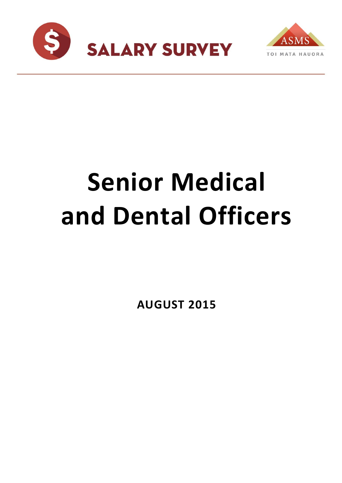



# **Senior Medical and Dental Officers**

**AUGUST 2015**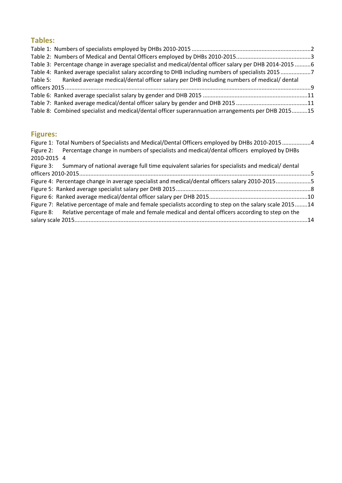## **Tables:**

| Table 3: Percentage change in average specialist and medical/dental officer salary per DHB 2014-2015 6 |                                                                                                    |
|--------------------------------------------------------------------------------------------------------|----------------------------------------------------------------------------------------------------|
| Table 4: Ranked average specialist salary according to DHB including numbers of specialists 2015 7     |                                                                                                    |
| Table 5: Ranked average medical/dental officer salary per DHB including numbers of medical/dental      |                                                                                                    |
|                                                                                                        |                                                                                                    |
|                                                                                                        |                                                                                                    |
|                                                                                                        |                                                                                                    |
|                                                                                                        |                                                                                                    |
|                                                                                                        | Table 8: Combined specialist and medical/dental officer superannuation arrangements per DHB 201515 |

# **Figures:**

| Figure 1: Total Numbers of Specialists and Medical/Dental Officers employed by DHBs 2010-20154            |  |
|-----------------------------------------------------------------------------------------------------------|--|
| Figure 2: Percentage change in numbers of specialists and medical/dental officers employed by DHBs        |  |
| 2010-2015 4                                                                                               |  |
| Figure 3: Summary of national average full time equivalent salaries for specialists and medical/dental    |  |
|                                                                                                           |  |
| Figure 4: Percentage change in average specialist and medical/dental officers salary 2010-20155           |  |
|                                                                                                           |  |
|                                                                                                           |  |
| Figure 7: Relative percentage of male and female specialists according to step on the salary scale 201514 |  |
| Figure 8: Relative percentage of male and female medical and dental officers according to step on the     |  |
|                                                                                                           |  |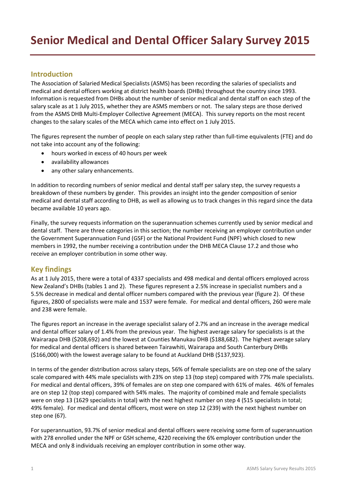#### **Introduction**

The Association of Salaried Medical Specialists (ASMS) has been recording the salaries of specialists and medical and dental officers working at district health boards (DHBs) throughout the country since 1993. Information is requested from DHBs about the number of senior medical and dental staff on each step of the salary scale as at 1 July 2015, whether they are ASMS members or not. The salary steps are those derived from the ASMS DHB Multi-Employer Collective Agreement (MECA). This survey reports on the most recent changes to the salary scales of the MECA which came into effect on 1 July 2015.

The figures represent the number of people on each salary step rather than full-time equivalents (FTE) and do not take into account any of the following:

- hours worked in excess of 40 hours per week
- availability allowances
- any other salary enhancements.

In addition to recording numbers of senior medical and dental staff per salary step, the survey requests a breakdown of these numbers by gender. This provides an insight into the gender composition of senior medical and dental staff according to DHB, as well as allowing us to track changes in this regard since the data became available 10 years ago.

Finally, the survey requests information on the superannuation schemes currently used by senior medical and dental staff. There are three categories in this section; the number receiving an employer contribution under the Government Superannuation Fund (GSF) or the National Provident Fund (NPF) which closed to new members in 1992, the number receiving a contribution under the DHB MECA Clause 17.2 and those who receive an employer contribution in some other way.

### **Key findings**

As at 1 July 2015, there were a total of 4337 specialists and 498 medical and dental officers employed across New Zealand's DHBs (tables 1 and 2). These figures represent a 2.5% increase in specialist numbers and a 5.5% decrease in medical and dental officer numbers compared with the previous year (figure 2). Of these figures, 2800 of specialists were male and 1537 were female. For medical and dental officers, 260 were male and 238 were female.

The figures report an increase in the average specialist salary of 2.7% and an increase in the average medical and dental officer salary of 1.4% from the previous year. The highest average salary for specialists is at the Wairarapa DHB (\$208,692) and the lowest at Counties Manukau DHB (\$188,682). The highest average salary for medical and dental officers is shared between Tairawhiti, Wairarapa and South Canterbury DHBs (\$166,000) with the lowest average salary to be found at Auckland DHB (\$137,923).

In terms of the gender distribution across salary steps, 56% of female specialists are on step one of the salary scale compared with 44% male specialists with 23% on step 13 (top step) compared with 77% male specialists. For medical and dental officers, 39% of females are on step one compared with 61% of males. 46% of females are on step 12 (top step) compared with 54% males. The majority of combined male and female specialists were on step 13 (1629 specialists in total) with the next highest number on step 4 (515 specialists in total; 49% female). For medical and dental officers, most were on step 12 (239) with the next highest number on step one (67).

For superannuation, 93.7% of senior medical and dental officers were receiving some form of superannuation with 278 enrolled under the NPF or GSH scheme, 4220 receiving the 6% employer contribution under the MECA and only 8 individuals receiving an employer contribution in some other way.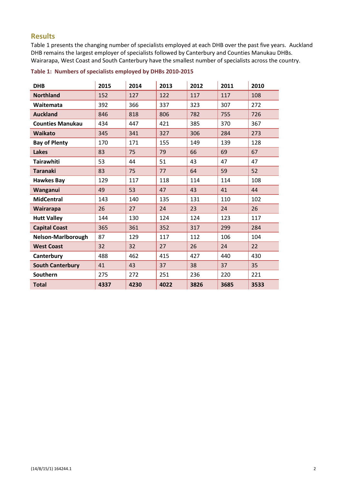#### **Results**

Table 1 presents the changing number of specialists employed at each DHB over the past five years. Auckland DHB remains the largest employer of specialists followed by Canterbury and Counties Manukau DHBs. Wairarapa, West Coast and South Canterbury have the smallest number of specialists across the country.

| <b>DHB</b>              | 2015 | 2014 | 2013 | 2012 | 2011 | 2010 |
|-------------------------|------|------|------|------|------|------|
| <b>Northland</b>        | 152  | 127  | 122  | 117  | 117  | 108  |
| Waitemata               | 392  | 366  | 337  | 323  | 307  | 272  |
| <b>Auckland</b>         | 846  | 818  | 806  | 782  | 755  | 726  |
| <b>Counties Manukau</b> | 434  | 447  | 421  | 385  | 370  | 367  |
| <b>Waikato</b>          | 345  | 341  | 327  | 306  | 284  | 273  |
| <b>Bay of Plenty</b>    | 170  | 171  | 155  | 149  | 139  | 128  |
| <b>Lakes</b>            | 83   | 75   | 79   | 66   | 69   | 67   |
| <b>Tairawhiti</b>       | 53   | 44   | 51   | 43   | 47   | 47   |
| <b>Taranaki</b>         | 83   | 75   | 77   | 64   | 59   | 52   |
| <b>Hawkes Bay</b>       | 129  | 117  | 118  | 114  | 114  | 108  |
| Wanganui                | 49   | 53   | 47   | 43   | 41   | 44   |
| <b>MidCentral</b>       | 143  | 140  | 135  | 131  | 110  | 102  |
| Wairarapa               | 26   | 27   | 24   | 23   | 24   | 26   |
| <b>Hutt Valley</b>      | 144  | 130  | 124  | 124  | 123  | 117  |
| <b>Capital Coast</b>    | 365  | 361  | 352  | 317  | 299  | 284  |
| Nelson-Marlborough      | 87   | 129  | 117  | 112  | 106  | 104  |
| <b>West Coast</b>       | 32   | 32   | 27   | 26   | 24   | 22   |
| Canterbury              | 488  | 462  | 415  | 427  | 440  | 430  |
| <b>South Canterbury</b> | 41   | 43   | 37   | 38   | 37   | 35   |
| Southern                | 275  | 272  | 251  | 236  | 220  | 221  |
| <b>Total</b>            | 4337 | 4230 | 4022 | 3826 | 3685 | 3533 |

#### **Table 1: Numbers of specialists employed by DHBs 2010-2015**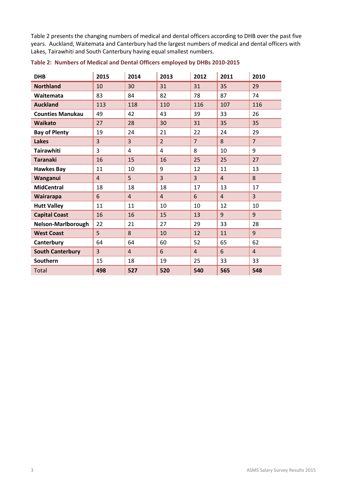Table 2 presents the changing numbers of medical and dental officers according to DHB over the past five years. Auckland, Waitemata and Canterbury had the largest numbers of medical and dental officers with Lakes, Tairawhiti and South Canterbury having equal smallest numbers.

| <b>DHB</b>                | 2015           | 2014           | 2013           | 2012           | 2011           | 2010           |
|---------------------------|----------------|----------------|----------------|----------------|----------------|----------------|
| <b>Northland</b>          | 10             | 30             | 31             | 31             | 35             | 29             |
| Waitemata                 | 83             | 84             | 82             | 78             | 87             | 74             |
| <b>Auckland</b>           | 113            | 118            | 110            | 116            | 107            | 116            |
| <b>Counties Manukau</b>   | 49             | 42             | 43             | 39             | 33             | 26             |
| <b>Waikato</b>            | 27             | 28             | 30             | 31             | 35             | 35             |
| <b>Bay of Plenty</b>      | 19             | 24             | 21             | 22             | 24             | 29             |
| <b>Lakes</b>              | $\overline{3}$ | $\overline{3}$ | $\overline{2}$ | $\overline{7}$ | 8              | $\overline{7}$ |
| <b>Tairawhiti</b>         | 3              | $\overline{4}$ | 4              | 8              | 10             | 9              |
| <b>Taranaki</b>           | 16             | 15             | 16             | 25             | 25             | 27             |
| <b>Hawkes Bay</b>         | 11             | 10             | 9              | 12             | 11             | 13             |
| Wanganui                  | $\overline{4}$ | 5              | $\overline{3}$ | $\overline{3}$ | $\overline{4}$ | 8              |
| <b>MidCentral</b>         | 18             | 18             | 18             | 17             | 13             | 17             |
| Wairarapa                 | 6              | $\overline{4}$ | $\overline{4}$ | 6              | $\overline{4}$ | $\overline{3}$ |
| <b>Hutt Valley</b>        | 11             | 11             | 10             | 10             | 12             | 10             |
| <b>Capital Coast</b>      | 16             | 16             | 15             | 13             | 9              | 9              |
| <b>Nelson-Marlborough</b> | 22             | 21             | 27             | 29             | 33             | 28             |
| <b>West Coast</b>         | 5              | 8              | 10             | 12             | 11             | 9              |
| Canterbury                | 64             | 64             | 60             | 52             | 65             | 62             |
| <b>South Canterbury</b>   | $\overline{3}$ | $\overline{4}$ | 6              | $\overline{4}$ | 6              | $\overline{4}$ |
| Southern                  | 15             | 18             | 19             | 25             | 33             | 33             |
| <b>Total</b>              | 498            | 527            | 520            | 540            | 565            | 548            |

**Table 2: Numbers of Medical and Dental Officers employed by DHBs 2010-2015**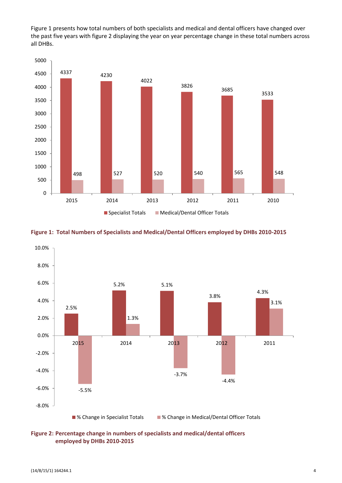Figure 1 presents how total numbers of both specialists and medical and dental officers have changed over the past five years with figure 2 displaying the year on year percentage change in these total numbers across all DHBs.







**Figure 2: Percentage change in numbers of specialists and medical/dental officers employed by DHBs 2010-2015**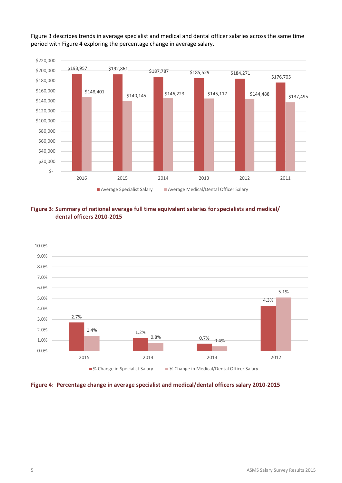

Figure 3 describes trends in average specialist and medical and dental officer salaries across the same time period with Figure 4 exploring the percentage change in average salary.





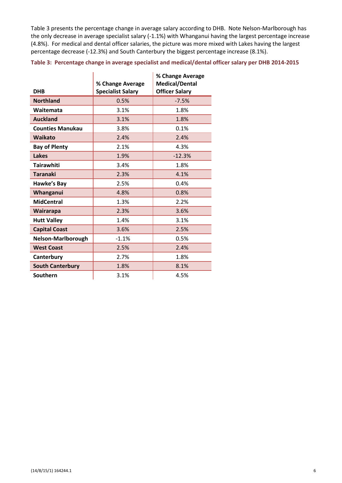Table 3 presents the percentage change in average salary according to DHB. Note Nelson-Marlborough has the only decrease in average specialist salary (-1.1%) with Whanganui having the largest percentage increase (4.8%). For medical and dental officer salaries, the picture was more mixed with Lakes having the largest percentage decrease (-12.3%) and South Canterbury the biggest percentage increase (8.1%).

**Table 3: Percentage change in average specialist and medical/dental officer salary per DHB 2014-2015**

| <b>DHB</b>              | % Change Average<br><b>Specialist Salary</b> | % Change Average<br><b>Medical/Dental</b><br><b>Officer Salary</b> |
|-------------------------|----------------------------------------------|--------------------------------------------------------------------|
| <b>Northland</b>        | 0.5%                                         | $-7.5%$                                                            |
| Waitemata               | 3.1%                                         | 1.8%                                                               |
| <b>Auckland</b>         | 3.1%                                         | 1.8%                                                               |
| <b>Counties Manukau</b> | 3.8%                                         | 0.1%                                                               |
| <b>Waikato</b>          | 2.4%                                         | 2.4%                                                               |
| <b>Bay of Plenty</b>    | 2.1%                                         | 4.3%                                                               |
| <b>Lakes</b>            | 1.9%                                         | $-12.3%$                                                           |
| <b>Tairawhiti</b>       | 3.4%                                         | 1.8%                                                               |
| <b>Taranaki</b>         | 2.3%                                         | 4.1%                                                               |
| Hawke's Bay             | 2.5%                                         | 0.4%                                                               |
| Whanganui               | 4.8%                                         | 0.8%                                                               |
| <b>MidCentral</b>       | 1.3%                                         | 2.2%                                                               |
| Wairarapa               | 2.3%                                         | 3.6%                                                               |
| <b>Hutt Valley</b>      | 1.4%                                         | 3.1%                                                               |
| <b>Capital Coast</b>    | 3.6%                                         | 2.5%                                                               |
| Nelson-Marlborough      | $-1.1%$                                      | 0.5%                                                               |
| <b>West Coast</b>       | 2.5%                                         | 2.4%                                                               |
| Canterbury              | 2.7%                                         | 1.8%                                                               |
| <b>South Canterbury</b> | 1.8%                                         | 8.1%                                                               |
| Southern                | 3.1%                                         | 4.5%                                                               |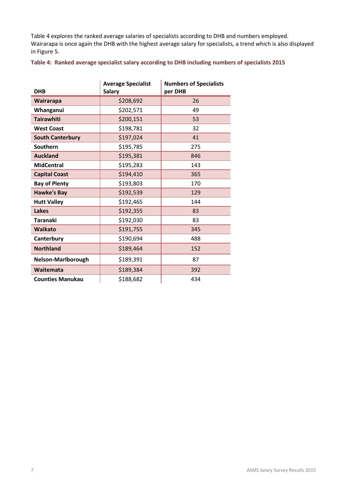Table 4 explores the ranked average salaries of specialists according to DHB and numbers employed. Wairarapa is once again the DHB with the highest average salary for specialists, a trend which is also displayed in Figure 5.

#### **Table 4: Ranked average specialist salary according to DHB including numbers of specialists 2015**

| <b>DHB</b>              | <b>Average Specialist</b><br><b>Salary</b> | <b>Numbers of Specialists</b><br>per DHB |
|-------------------------|--------------------------------------------|------------------------------------------|
| Wairarapa               | \$208,692                                  | 26                                       |
| Whanganui               | \$202,571                                  | 49                                       |
| <b>Tairawhiti</b>       | \$200,151                                  | 53                                       |
| <b>West Coast</b>       | \$198,781                                  | 32                                       |
| <b>South Canterbury</b> | \$197,024                                  | 41                                       |
| Southern                | \$195,785                                  | 275                                      |
| <b>Auckland</b>         | \$195,381                                  | 846                                      |
| <b>MidCentral</b>       | \$195,283                                  | 143                                      |
| <b>Capital Coast</b>    | \$194,410                                  | 365                                      |
| <b>Bay of Plenty</b>    | \$193,803                                  | 170                                      |
| <b>Hawke's Bay</b>      | \$192,539                                  | 129                                      |
| <b>Hutt Valley</b>      | \$192,465                                  | 144                                      |
| Lakes                   | \$192,355                                  | 83                                       |
| <b>Taranaki</b>         | \$192,030                                  | 83                                       |
| <b>Waikato</b>          | \$191,755                                  | 345                                      |
| Canterbury              | \$190,694                                  | 488                                      |
| <b>Northland</b>        | \$189,464                                  | 152                                      |
| Nelson-Marlborough      | \$189,391                                  | 87                                       |
| Waitemata               | \$189,384                                  | 392                                      |
| <b>Counties Manukau</b> | \$188,682                                  | 434                                      |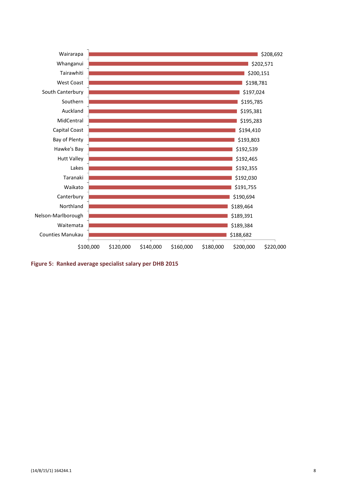

**Figure 5: Ranked average specialist salary per DHB 2015**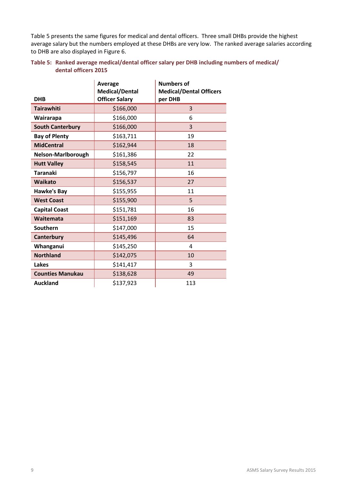Table 5 presents the same figures for medical and dental officers. Three small DHBs provide the highest average salary but the numbers employed at these DHBs are very low. The ranked average salaries according to DHB are also displayed in Figure 6.

#### **Table 5: Ranked average medical/dental officer salary per DHB including numbers of medical/ dental officers 2015**

|                         | Average<br><b>Medical/Dental</b> | <b>Numbers of</b><br><b>Medical/Dental Officers</b> |
|-------------------------|----------------------------------|-----------------------------------------------------|
| <b>DHB</b>              | <b>Officer Salary</b>            | per DHB                                             |
| <b>Tairawhiti</b>       | \$166,000                        | 3                                                   |
| Wairarapa               | \$166,000                        | 6                                                   |
| <b>South Canterbury</b> | \$166,000                        | 3                                                   |
| <b>Bay of Plenty</b>    | \$163,711                        | 19                                                  |
| <b>MidCentral</b>       | \$162,944                        | 18                                                  |
| Nelson-Marlborough      | \$161,386                        | 22                                                  |
| <b>Hutt Valley</b>      | \$158,545                        | 11                                                  |
| Taranaki                | \$156,797                        | 16                                                  |
| <b>Waikato</b>          | \$156,537                        | 27                                                  |
| <b>Hawke's Bay</b>      | \$155,955                        | 11                                                  |
| <b>West Coast</b>       | \$155,900                        | 5                                                   |
| <b>Capital Coast</b>    | \$151,781                        | 16                                                  |
| Waitemata               | \$151,169                        | 83                                                  |
| Southern                | \$147,000                        | 15                                                  |
| Canterbury              | \$145,496                        | 64                                                  |
| Whanganui               | \$145,250                        | 4                                                   |
| <b>Northland</b>        | \$142,075                        | 10                                                  |
| Lakes                   | \$141,417                        | 3                                                   |
| <b>Counties Manukau</b> | \$138,628                        | 49                                                  |
| <b>Auckland</b>         | \$137,923                        | 113                                                 |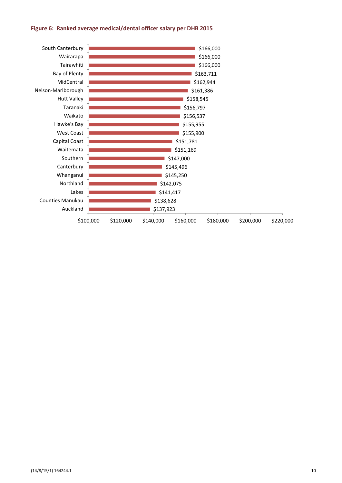#### **Figure 6: Ranked average medical/dental officer salary per DHB 2015**

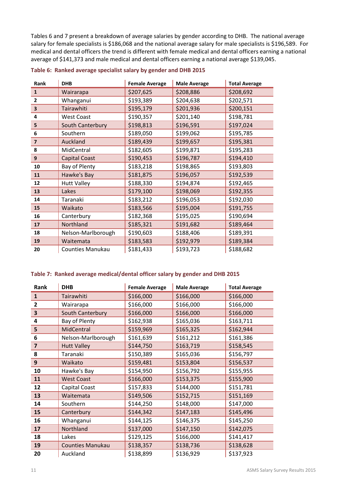Tables 6 and 7 present a breakdown of average salaries by gender according to DHB. The national average salary for female specialists is \$186,068 and the national average salary for male specialists is \$196,589. For medical and dental officers the trend is different with female medical and dental officers earning a national average of \$141,373 and male medical and dental officers earning a national average \$139,045.

| Rank           | <b>DHB</b>           | <b>Female Average</b> | <b>Male Average</b> | <b>Total Average</b> |
|----------------|----------------------|-----------------------|---------------------|----------------------|
| $\mathbf{1}$   | Wairarapa            | \$207,625             | \$208,886           | \$208,692            |
| $\mathbf{2}$   | Whanganui            | \$193,389             | \$204,638           | \$202,571            |
| 3              | Tairawhiti           | \$195,179             | \$201,936           | \$200,151            |
| 4              | <b>West Coast</b>    | \$190,357             | \$201,140           | \$198,781            |
| 5              | South Canterbury     | \$198,813             | \$196,591           | \$197,024            |
| 6              | Southern             | \$189,050             | \$199,062           | \$195,785            |
| $\overline{7}$ | Auckland             | \$189,439             | \$199,657           | \$195,381            |
| 8              | MidCentral           | \$182,605             | \$199,871           | \$195,283            |
| 9              | <b>Capital Coast</b> | \$190,453             | \$196,787           | \$194,410            |
| 10             | Bay of Plenty        | \$183,218             | \$198,865           | \$193,803            |
| 11             | Hawke's Bay          | \$181,875             | \$196,057           | \$192,539            |
| 12             | <b>Hutt Valley</b>   | \$188,330             | \$194,874           | \$192,465            |
| 13             | Lakes                | \$179,100             | \$198,069           | \$192,355            |
| 14             | Taranaki             | \$183,212             | \$196,053           | \$192,030            |
| 15             | Waikato              | \$183,566             | \$195,004           | \$191,755            |
| 16             | Canterbury           | \$182,368             | \$195,025           | \$190,694            |
| 17             | Northland            | \$185,321             | \$191,682           | \$189,464            |
| 18             | Nelson-Marlborough   | \$190,603             | \$188,406           | \$189,391            |
| 19             | Waitemata            | \$183,583             | \$192,979           | \$189,384            |
| 20             | Counties Manukau     | \$181,433             | \$193,723           | \$188,682            |

#### **Table 6: Ranked average specialist salary by gender and DHB 2015**

#### **Table 7: Ranked average medical/dental officer salary by gender and DHB 2015**

| Rank         | <b>DHB</b>              | <b>Female Average</b> | <b>Male Average</b> | <b>Total Average</b> |
|--------------|-------------------------|-----------------------|---------------------|----------------------|
| $\mathbf{1}$ | Tairawhiti              | \$166,000             | \$166,000           | \$166,000            |
| 2            | Wairarapa               | \$166,000             | \$166,000           | \$166,000            |
| 3            | South Canterbury        | \$166,000             | \$166,000           | \$166,000            |
| 4            | Bay of Plenty           | \$162,938             | \$165,036           | \$163,711            |
| 5            | MidCentral              | \$159,969             | \$165,325           | \$162,944            |
| 6            | Nelson-Marlborough      | \$161,639             | \$161,212           | \$161,386            |
| 7            | <b>Hutt Valley</b>      | \$144,750             | \$163,719           | \$158,545            |
| 8            | Taranaki                | \$150,389             | \$165,036           | \$156,797            |
| 9            | Waikato                 | \$159,481             | \$153,804           | \$156,537            |
| 10           | Hawke's Bay             | \$154,950             | \$156,792           | \$155,955            |
| 11           | <b>West Coast</b>       | \$166,000             | \$153,375           | \$155,900            |
| 12           | Capital Coast           | \$157,833             | \$144,000           | \$151,781            |
| 13           | Waitemata               | \$149,506             | \$152,715           | \$151,169            |
| 14           | Southern                | \$144,250             | \$148,000           | \$147,000            |
| 15           | Canterbury              | \$144,342             | \$147,183           | \$145,496            |
| 16           | Whanganui               | \$144,125             | \$146,375           | \$145,250            |
| 17           | Northland               | \$137,000             | \$147,150           | \$142,075            |
| 18           | Lakes                   | \$129,125             | \$166,000           | \$141,417            |
| 19           | <b>Counties Manukau</b> | \$138,357             | \$138,736           | \$138,628            |
| 20           | Auckland                | \$138,899             | \$136,929           | \$137,923            |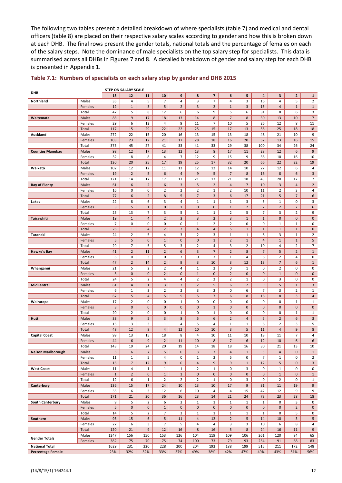The following two tables present a detailed breakdown of where specialists (table 7) and medical and dental officers (table 8) are placed on their respective salary scales according to gender and how this is broken down at each DHB. The final rows present the gender totals, national totals and the percentage of females on each of the salary steps. Note the dominance of male specialists on the top salary step for specialists. This data is summarised across all DHBs in Figures 7 and 8. A detailed breakdown of gender and salary step for each DHB is presented in Appendix 1.

| DHB                       |                  |                      | <b>STEP ON SALARY SCALE</b> |                               |                     |                          |                                         |                                  |                           |                     |                          |                                |                     |                                |
|---------------------------|------------------|----------------------|-----------------------------|-------------------------------|---------------------|--------------------------|-----------------------------------------|----------------------------------|---------------------------|---------------------|--------------------------|--------------------------------|---------------------|--------------------------------|
|                           |                  | 13                   | 12                          | 11                            | 10                  | 9                        | 8                                       | $\overline{\mathbf{z}}$          | 6                         | 5                   | 4                        | 3                              | $\mathbf{2}$        | $\mathbf{1}$                   |
| Northland                 | Males            | 35                   | 4                           | 5                             | $\overline{7}$      | 4                        | 3                                       | $\overline{7}$                   | 4                         | 3                   | 16                       | 4                              | 5                   | $\overline{2}$                 |
|                           | Females<br>Total | 12<br>47             | $\mathbf{1}$<br>5           | $\overline{3}$<br>8           | 5<br>12             | $\overline{2}$<br>6      | $\mathbf{3}$<br>6                       | $\overline{2}$<br>9              | $\mathbf{1}$<br>5         | 3<br>6              | 15<br>31                 | 4<br>8                         | $\mathbf 1$<br>6    | $\mathbf{1}$<br>3              |
| Waitemata                 | Males            | 88                   | 9                           | 17                            | 18                  | 13                       | 14                                      | $\bf 8$                          | $\overline{7}$            | 8                   | 30                       | 13                             | 10                  | $\overline{7}$                 |
|                           | Females          | 29                   | 6                           | 12                            | 4                   | 9                        | 11                                      | $\overline{7}$                   | 10                        | 5                   | 26                       | 12                             | 8                   | 11                             |
|                           | Total            | 117                  | 15                          | 29                            | 22                  | 22                       | 25                                      | 15                               | 17                        | 13                  | 56                       | 25                             | 18                  | 18                             |
| Auckland                  | Males            | 272                  | 22                          | 15                            | 20                  | 16                       | 13                                      | 15                               | 13                        | 18                  | 48                       | 21                             | 10                  | 9                              |
|                           | Females          | 103                  | 23                          | 12                            | 21                  | 17                       | 28                                      | 18                               | 16                        | 20                  | 52                       | 13                             | 16                  | 15                             |
|                           | Total            | 375                  | 45                          | 27                            | 41                  | 33                       | 41                                      | 33                               | 29                        | 38                  | 100                      | 34                             | 26                  | 24                             |
| <b>Counties Manukau</b>   | Males            | 98<br>32             | 12<br>8                     | 17<br>8                       | 13<br>4             | 12<br>7                  | 13<br>12                                | $\bf 8$<br>9                     | 17<br>15                  | 11<br>9             | 28<br>38                 | 12<br>10                       | 6<br>16             | $9\,$<br>10                    |
|                           | Females<br>Total | 130                  | 20                          | 25                            | 17                  | 19                       | 25                                      | 17                               | 32                        | 20                  | 66                       | 22                             | 22                  | 19                             |
| Waikato                   | Males            | 102                  | 12                          | 12                            | 11                  | 13                       | 12                                      | 12                               | 14                        | 10                  | 27                       | 12                             | 6                   | 4                              |
|                           | Females          | 19                   | $\overline{2}$              | 5                             | 6                   | $\overline{a}$           | $\boldsymbol{9}$                        | 5                                | $\overline{7}$            | 8                   | 16                       | 8                              | 6                   | $\overline{3}$                 |
|                           | Total            | 121                  | 14                          | 17                            | 17                  | 17                       | 21                                      | 17                               | 21                        | 18                  | 43                       | 20                             | 12                  | 7                              |
| <b>Bay of Plenty</b>      | Males            | 61                   | 6                           | $\overline{2}$                | 6                   | $\overline{3}$           | 5                                       | $\overline{2}$                   | $\overline{4}$            | $\overline{7}$      | 10                       | 3                              | 4                   | $\overline{2}$                 |
|                           | Females          | 16                   | 0                           | 0                             | $\overline{2}$      | $\overline{2}$           | $\overline{2}$                          | $\mathbf{1}$                     | $\overline{2}$            | 10                  | 11                       | $\overline{2}$                 | 3                   | 4                              |
|                           | Total            | 77                   | 6                           | $\overline{2}$                | 8                   | 5                        | $\overline{7}$                          | $\overline{3}$                   | 6                         | 17                  | 21                       | 5                              | $\overline{7}$      | 6                              |
| Lakes                     | Males<br>Females | 22<br>$\overline{3}$ | 8<br>5                      | 6<br>$\mathbf{1}$             | 3<br>$\pmb{0}$      | 4<br>$\mathbf 1$         | $\mathbf{1}$<br>$\mathbf 0$             | $\mathbf{1}$<br>$\pmb{0}$        | $\mathbf{1}$<br>$1\,$     | 3<br>$\overline{2}$ | 5<br>$\overline{2}$      | $\mathbf{1}$<br>$\overline{2}$ | 0<br>$\overline{2}$ | 3<br>6                         |
|                           | Total            | 25                   | 13                          | $\overline{7}$                | 3                   | 5                        | $\mathbf{1}$                            | $\mathbf{1}$                     | $\overline{2}$            | 5                   | 7                        | 3                              | $\overline{2}$      | 9                              |
| Tairawhiti                | Males            | 19                   | $\mathbf{1}$                | 4                             | $\overline{2}$      | 3                        | 3                                       | $\overline{2}$                   | 3                         | $\mathbf 1$         | $\mathbf 1$              | $\mathbf 0$                    | $\pmb{0}$           | $\mathbf 0$                    |
|                           | Females          | 7                    | 0                           | 0                             | 0                   | 0                        | $\mathbf{1}$                            | $\overline{2}$                   | $\overline{2}$            | 0                   | 0                        | $\mathbf{1}$                   | $\mathbf 1$         | 0                              |
|                           | Total            | 26                   | $\mathbf{1}$                | $\overline{a}$                | $\overline{2}$      | 3                        | $\overline{4}$                          | $\overline{a}$                   | 5                         | $1\,$               | $\mathbf{1}$             | $\mathbf{1}$                   | $1\,$               | $\mathbf 0$                    |
| Taranaki                  | Males            | 24                   | $\overline{2}$              | 5                             | 4                   | 3                        | $\overline{2}$                          | 3                                | $\mathbf{1}$              | $\mathbf 1$         | 6                        | 3                              | $\mathbf{1}$        | $\overline{2}$                 |
|                           | Females          | 5                    | 5                           | $\pmb{0}$                     | $\mathbf{1}$        | $\pmb{0}$                | $\mathbf 0$                             | $\mathbf{1}$                     | $\overline{2}$            | $\mathbf 1$         | 4                        | $1\,$                          | $\mathbf{1}$        | 5                              |
|                           | Total            | 29                   | 7                           | 5                             | 5                   | 3                        | $\overline{2}$                          | 4                                | 3                         | $\overline{2}$      | 10                       | 4                              | $\overline{2}$      | $\overline{7}$                 |
| Hawke's Bay               | Males            | 41<br>6              | $\overline{2}$<br>0         | 11<br>3                       | $\overline{2}$      | $\boldsymbol{6}$<br>3    | $\mathbf{3}$<br>0                       | $\overline{7}$                   | $\overline{2}$            | 8                   | $\overline{7}$           | 5<br>$\overline{2}$            | $\overline{2}$<br>4 | $\mathbf{1}$                   |
|                           | Females<br>Total | 47                   | $\overline{2}$              | 14                            | 0<br>$\overline{2}$ | $9\,$                    | 3                                       | 3<br>10                          | $\mathbf{1}$<br>3         | 4<br>12             | 6<br>13                  | $\overline{7}$                 | 6                   | 0<br>$\mathbf{1}$              |
| Whanganui                 | Males            | 21                   | 5                           | $\overline{2}$                | $\mathbf 2$         | $\overline{4}$           | $\mathbf{1}$                            | $\overline{2}$                   | 0                         | $\mathbf 1$         | 0                        | $\overline{2}$                 | 0                   | 0                              |
|                           | Females          | 3                    | $\mathbf 0$                 | 0                             | $\overline{2}$      | $\mathbf 0$              | $\mathbf{1}$                            | $\mathbf 0$                      | $\overline{2}$            | 0                   | 0                        | $\mathbf{1}$                   | 0                   | $\mathbf 0$                    |
|                           | Total            | 24                   | 5                           | $\overline{2}$                | 4                   | 4                        | $\overline{2}$                          | $\overline{2}$                   | $\overline{2}$            | $\mathbf{1}$        | 0                        | 3                              | 0                   | 0                              |
| <b>MidCentral</b>         | Males            | 61                   | $\overline{4}$              | $\mathbf{1}$                  | 3                   | 3                        | $\overline{2}$                          | 5                                | 6                         | $\overline{2}$      | 9                        | 5                              | $\mathbf 1$         | 3                              |
|                           | Females          | 6                    | $\mathbf{1}$                | 3                             | $\overline{2}$      | $\overline{2}$           | 3                                       | $\overline{2}$                   | 0                         | 6                   | $\overline{7}$           | 3                              | 2                   | $\mathbf{1}$                   |
|                           | Total            | 67                   | 5                           | $\overline{a}$                | 5                   | 5                        | 5                                       | $\overline{7}$                   | 6                         | 8                   | 16                       | 8                              | 3                   | 4                              |
| Wairarapa                 | Males            | 17<br>$\overline{3}$ | $\overline{2}$<br>$\pmb{0}$ | 0<br>$\mathbf 0$              | 0<br>$\pmb{0}$      | $\mathbf 1$<br>$\pmb{0}$ | 0<br>$\mathbf 0$                        | 0<br>$\mathbf{1}$                | 0<br>$\pmb{0}$            | 0<br>0              | 0<br>0                   | 0<br>0                         | $\mathbf{1}$<br>0   | $\mathbf{1}$<br>$\mathbf 0$    |
|                           | Females<br>Total | 20                   | $\overline{2}$              | 0                             | $\pmb{0}$           | $\mathbf{1}$             | 0                                       | $\mathbf{1}$                     | 0                         | 0                   | 0                        | 0                              | $\mathbf 1$         | $\mathbf{1}$                   |
| Hutt                      | Males            | 33                   | 9                           | 5                             | 3                   | 8                        | 5                                       | 6                                | $\overline{2}$            | 4                   | 5                        | $\overline{2}$                 | 6                   | 3                              |
|                           | Females          | 15                   | 3                           | 3                             | $\mathbf{1}$        | 4                        | 5                                       | $\overline{4}$                   | $\mathbf 1$               | $\mathbf 1$         | 6                        | $\overline{2}$                 | 3                   | 5                              |
|                           | Total            | 48                   | 12                          | $\bf 8$                       | $\overline{4}$      | 12                       | 10                                      | 10                               | $\mathbf{3}$              | 5                   | 11                       | 4                              | 9                   | 8                              |
| <b>Capital Coast</b>      | Males            | 99                   | 13                          | 15                            | 18                  | 8                        | 4                                       | 10                               | 11                        | 10                  | 18                       | 11                             | 7                   | 4                              |
|                           | Females          | 44                   | 6                           | 9                             | $\overline{2}$      | 11                       | 10                                      | 8                                | $\overline{7}$            | 6                   | 12                       | 10                             | 6                   | 6                              |
|                           | Total            | 143                  | 19                          | 24                            | 20                  | 19                       | 14                                      | 18                               | 18                        | 16                  | 30                       | 21                             | 13                  | 10                             |
| <b>Nelson Marlborough</b> | Males<br>Females | $\sqrt{5}$<br>11     | 6<br>$\mathbf{1}$           | $\overline{7}$<br>5           | 5<br>4              | $\pmb{0}$<br>0           | $\overline{\mathbf{3}}$<br>$\mathbf{1}$ | $\overline{7}$<br>$\overline{2}$ | $\overline{4}$<br>5       | $1\,$<br>0          | 5<br>$\overline{7}$      | $\overline{4}$<br>$\mathbf{1}$ | $\mathbf 0$<br>0    | $\mathbf{1}$<br>$\overline{2}$ |
|                           | Total            | 16                   | $\overline{7}$              | 12                            | $9\,$               | $\mathbf 0$              | $\overline{4}$                          | 9                                | 9                         | $\mathbf 1$         | 12                       | 5                              | 0                   | 3                              |
| <b>West Coast</b>         | Males            | 11                   | $\overline{4}$              | $\mathbf{1}$                  | $\mathbf{1}$        | $\mathbf{1}$             | $\overline{2}$                          | $\mathbf{1}$                     | 0                         | 3                   | 0                        | $\mathbf{1}$                   | 0                   | 0                              |
|                           | Females          | $\mathbf 1$          | $\overline{2}$              | $\mathbf 0$                   | $\mathbf{1}$        | $1\,$                    | $\mathbf 0$                             | $\pmb{0}$                        | $\mathbf 0$               | 0                   | $\mathsf{O}\xspace$      | $\mathbf{1}$                   | $\mathbf 0$         | $\mathbf{1}$                   |
|                           | Total            | 12                   | 6                           | $\mathbf{1}$                  | $\overline{2}$      | $\overline{2}$           | $\overline{2}$                          | $\mathbf{1}$                     | 0                         | 3                   | 0                        | $\overline{2}$                 | 0                   | $\mathbf{1}$                   |
| Canterbury                | Males            | 136                  | 15                          | 17                            | 24                  | 10                       | 13                                      | 10                               | 17                        | 9                   | 31                       | 11                             | 19                  | $9\,$                          |
|                           | Females          | 35                   | 6                           | 3                             | 12                  | 6                        | 10                                      | 4                                | 4                         | 15                  | 42                       | 12                             | 9                   | 9                              |
|                           | Total            | 171                  | 21                          | 20                            | 36                  | 16                       | 23                                      | 14                               | 21                        | 24                  | 73                       | 23                             | 28                  | 18                             |
| South Canterbury          | Males<br>Females | 9<br>5               | 5<br>$\pmb{0}$              | $\overline{2}$<br>$\mathbf 0$ | 6<br>$\mathbf{1}$   | 3<br>$\mathbf 0$         | $\mathbf{1}$<br>$\mathsf{O}\xspace$     | $\mathbf{1}$<br>$\pmb{0}$        | $\mathbf{1}$<br>$\pmb{0}$ | $\mathbf 1$<br>0    | $\mathbf 1$<br>$\pmb{0}$ | 0<br>0                         | 3<br>$\overline{2}$ | 0<br>$\mathbf 0$               |
|                           | Total            | 14                   | 5                           | $\overline{2}$                | $\overline{7}$      | 3                        | $\mathbf{1}$                            | $\mathbf{1}$                     | $\mathbf{1}$              | $\mathbf 1$         | $\mathbf 1$              | 0                              | 5                   | 0                              |
| Southern                  | Males            | 93                   | 15                          | 6                             | 5                   | 11                       | $\overline{4}$                          | 12                               | $\overline{2}$            | 5                   | 14                       | 10                             | 3                   | 5                              |
|                           | Females          | 27                   | 6                           | 3                             | 7                   | 5                        | 4                                       | 4                                | 3                         | 3                   | 10                       | 6                              | 8                   | 4                              |
|                           | Total            | 120                  | 21                          | $9\,$                         | 12                  | 16                       | 8                                       | 16                               | 5                         | 8                   | 24                       | 16                             | 11                  | $9\,$                          |
| <b>Gender Totals</b>      | Males            | 1247                 | 156                         | 150                           | 153                 | 126                      | 104                                     | 119                              | 109                       | 106                 | 261                      | 120                            | 84                  | 65                             |
|                           | Females          | 382                  | 75                          | 70                            | 75                  | 74                       | 100                                     | 73                               | 79                        | 93                  | 254                      | 91                             | 88                  | 83                             |
| <b>National Total</b>     |                  | 1629                 | 231                         | 220                           | 228                 | 200                      | 204                                     | 192                              | 188                       | 199                 | 515                      | 211                            | 172                 | 148                            |
| <b>Percentage Female</b>  |                  | 23%                  | 32%                         | 32%                           | 33%                 | 37%                      | 49%                                     | 38%                              | 42%                       | 47%                 | 49%                      | 43%                            | 51%                 | 56%                            |

#### **Table 7.1: Numbers of specialists on each salary step by gender and DHB 2015**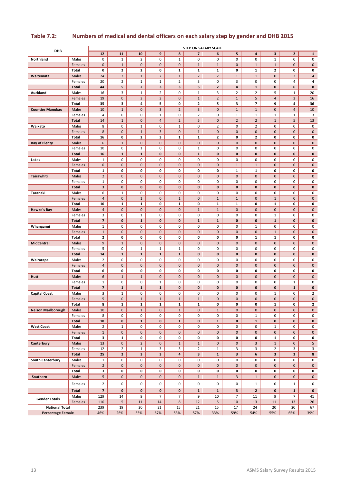|                                                   |                         | <b>STEP ON SALARY SCALE</b>    |                           |                                     |                   |                          |                              |                     |                  |                   |                |                     |                   |
|---------------------------------------------------|-------------------------|--------------------------------|---------------------------|-------------------------------------|-------------------|--------------------------|------------------------------|---------------------|------------------|-------------------|----------------|---------------------|-------------------|
| DHB                                               |                         | 12                             | 11                        | 10                                  | 9                 | 8                        | $\overline{7}$               | 6                   | 5                | 4                 | 3              | $\mathbf 2$         | $\mathbf{1}$      |
| Northland                                         | Males                   | 0                              | $1\,$                     | $\overline{2}$                      | 0                 | $\mathbf{1}$             | 0                            | 0                   | 0                | 0                 | $\mathbf 1$    | 0                   | 0                 |
|                                                   | Females                 | $\mathbf 0$                    | $\mathbf{1}$              | $\mathsf{O}\xspace$                 | 0                 | $\mathbf 0$              | $\mathbf{1}$                 | $\mathbf{1}$        | $\pmb{0}$        | $\mathbf{1}$      | $\mathbf 1$    | 0                   | $\mathbf 0$       |
|                                                   | Total                   | 0                              | 2                         | 2                                   | 0                 | $\mathbf{1}$             | $\mathbf{1}$                 | 1                   | 0                | 1                 | 2              | 0                   | 0                 |
| Waitemata                                         | Males                   | 24                             | $\overline{\mathbf{3}}$   | $1\,$                               | $\overline{2}$    | $\mathbf{1}$             | $\overline{2}$               | $\overline{2}$      | $\mathbf 1$      | $\mathbf 1$       | 0              | $\overline{2}$      | $\overline{4}$    |
|                                                   | Females<br><b>Total</b> | 20<br>44                       | $\overline{2}$<br>5       | $\mathbf{1}$<br>$\overline{2}$      | $\mathbf{1}$<br>3 | $\overline{2}$<br>3      | 3<br>5                       | 0<br>$\mathbf{2}$   | 3<br>4           | 0<br>$\mathbf{1}$ | 0<br>0         | 4<br>6              | 4<br>8            |
| Auckland                                          | Males                   | 16                             | 3                         | $\mathbf{1}$                        | $\overline{2}$    | 0                        | $\mathbf{1}$                 | 3                   | $\mathbf 2$      | $\overline{2}$    | 5              | $\mathbf{1}$        | 20                |
|                                                   | Females                 | 19                             | $\mathbf 0$               | 3                                   | 3                 | $\mathbf 0$              | $\mathbf{1}$                 | $\overline{2}$      | $\mathbf{1}$     | 5                 | 4              | 3                   | 16                |
|                                                   | Total                   | 35                             | з                         | 4                                   | 5                 | 0                        | $\mathbf{2}$                 | 5                   | 3                | 7                 | 9              | 4                   | 36                |
| <b>Counties Manukau</b>                           | Males                   | 10                             | $\mathbf{1}$              | $\pmb{0}$                           | 3                 | $\overline{2}$           | 3                            | $\pmb{0}$           | $\mathbf 1$      | $\mathbf 1$       | 0              | $\overline{a}$      | 10                |
|                                                   | Females                 | 4                              | 0                         | 0                                   | $\mathbf{1}$      | 0                        | $\overline{2}$               | 0                   | $\mathbf 1$      | $\mathbf 1$       | $\mathbf 1$    | $\mathbf{1}$        | 3                 |
|                                                   | <b>Total</b>            | 14                             | $\mathbf{1}$              | $\mathbf 0$                         | $\overline{4}$    | $\overline{2}$           | 5                            | $\mathbf 0$         | $\mathbf 2$      | $\overline{2}$    | $\mathbf 1$    | 5                   | 13                |
| Waikato                                           | Males                   | 8                              | 0                         | $\mathbf{1}$                        | 0                 | $\mathbf{1}$             | 0                            | $\overline{2}$      | 0                | $\overline{2}$    | 0              | 0                   | 0                 |
|                                                   | Females                 | 8                              | $\mathbf 0$               | $\mathbf{1}$                        | 3                 | $\mathbf 0$              | $\mathbf{1}$                 | 0                   | $\pmb{0}$        | $\pmb{0}$         | 0              | $\pmb{0}$           | $\mathbf 0$       |
|                                                   | Total                   | 16                             | 0                         | $\mathbf{2}$                        | 3                 | $\mathbf{1}$             | $\mathbf{1}$                 | $\mathbf{2}$        | 0                | $\mathbf{2}$      | 0              | 0                   | 0                 |
| <b>Bay of Plenty</b>                              | Males                   | 6                              | $\mathbf{1}$              | $\mathbf 0$                         | 0                 | $\mathbf 0$              | $\pmb{0}$                    | $\pmb{0}$           | $\pmb{0}$        | $\pmb{0}$         | 0              | $\pmb{0}$           | $\mathbf{0}$      |
|                                                   | Females<br><b>Total</b> | 10<br>16                       | 0<br>$\mathbf{1}$         | $\mathbf{1}$<br>$\mathbf{1}$        | 0<br>0            | 0<br>0                   | $\mathbf{1}$<br>$\mathbf{1}$ | 0<br>$\bf{0}$       | 0<br>$\pmb{0}$   | 0<br>$\pmb{0}$    | 0<br>0         | 0<br>0              | 0<br>$\mathbf 0$  |
| Lakes                                             | Males                   | $\mathbf{1}$                   | 0                         | 0                                   | 0                 | 0                        | 0                            | 0                   | 0                | 0                 | 0              | 0                   | 0                 |
|                                                   | Females                 | $\pmb{0}$                      | $\mathbf 0$               | $\mathsf{O}\xspace$                 | 0                 | $\pmb{0}$                | $\pmb{0}$                    | $\pmb{0}$           | $\mathbf 1$      | $\mathbf 1$       | 0              | $\pmb{0}$           | $\mathbf 0$       |
|                                                   | Total                   | 1                              | 0                         | 0                                   | 0                 | 0                        | 0                            | 0                   | $\mathbf 1$      | $\mathbf{1}$      | 0              | 0                   | 0                 |
| Tairawhiti                                        | Males                   | $\overline{2}$                 | $\mathbf 0$               | $\pmb{0}$                           | 0                 | $\pmb{0}$                | $\pmb{0}$                    | 0                   | $\pmb{0}$        | $\pmb{0}$         | 0              | $\pmb{0}$           | $\mathbf 0$       |
|                                                   | Females                 | $\mathbf{1}$                   | 0                         | 0                                   | 0                 | 0                        | 0                            | 0                   | 0                | 0                 | 0              | 0                   | 0                 |
|                                                   | <b>Total</b>            | 3                              | 0                         | 0                                   | 0                 | 0                        | 0                            | $\pmb{0}$           | $\pmb{0}$        | $\pmb{0}$         | 0              | 0                   | 0                 |
| Taranaki                                          | Males                   | 6                              | $\mathbf{1}$              | 0                                   | 0                 | 0                        | 0                            | 0                   | 0                | 0                 | 0              | 0                   | 0                 |
|                                                   | Females                 | 4                              | $\mathbf 0$               | $\mathbf{1}$                        | 0                 | $\mathbf{1}$             | $\pmb{0}$                    | $\mathbf{1}$        | $\mathbf 1$      | $\pmb{0}$         | $\mathbf 1$    | $\pmb{0}$           | $\overline{0}$    |
|                                                   | Total                   | 10                             | $\mathbf{1}$              | $\mathbf{1}$                        | 0                 | $\mathbf{1}$             | 0                            | $\mathbf{1}$        | $\mathbf{1}$     | 0                 | 1              | 0                   | 0                 |
| Hawke's Bay                                       | Males                   | 4<br>3                         | $\mathbf 0$<br>0          | $\mathsf{O}\xspace$<br>$\mathbf{1}$ | 0<br>0            | $\pmb{0}$<br>0           | $\mathbf 1$<br>0             | $\mathbf{1}$<br>0   | $\pmb{0}$<br>0   | $\pmb{0}$<br>0    | 0<br>1         | $\pmb{0}$<br>0      | $\mathbf 0$<br>0  |
|                                                   | Females<br><b>Total</b> | $\overline{\mathbf{z}}$        | $\pmb{0}$                 | $\mathbf{1}$                        | 0                 | $\pmb{0}$                | $\mathbf{1}$                 | $\mathbf{1}$        | $\pmb{0}$        | $\pmb{0}$         | $\mathbf 1$    | 0                   | 0                 |
| Whanganui                                         | Males                   | $\mathbf 1$                    | 0                         | 0                                   | 0                 | 0                        | 0                            | 0                   | 0                | $\mathbf 1$       | 0              | 0                   | 0                 |
|                                                   | Females                 | $\mathbf{1}$                   | $\mathbf 0$               | $\mathbf 0$                         | 0                 | $\pmb{0}$                | 0                            | $\pmb{0}$           | $\pmb{0}$        | $\pmb{0}$         | $\mathbf 1$    | $\pmb{0}$           | $\mathbf 0$       |
|                                                   | Total                   | 2                              | 0                         | 0                                   | 0                 | 0                        | 0                            | 0                   | 0                | $\mathbf{1}$      | 1              | 0                   | 0                 |
| <b>MidCentral</b>                                 | Males                   | 9                              | $\mathbf{1}$              | 0                                   | 0                 | $\bf{0}$                 | $\mathbf 0$                  | $\pmb{0}$           | $\pmb{0}$        | $\pmb{0}$         | 0              | $\pmb{0}$           | $\mathbf{0}$      |
|                                                   | Females                 | 5                              | 0                         | $\mathbf{1}$                        | $\mathbf{1}$      | $\mathbf{1}$             | 0                            | 0                   | 0                | 0                 | 0              | 0                   | 0                 |
|                                                   | <b>Total</b>            | 14                             | $\mathbf{1}$              | $\mathbf{1}$                        | $\mathbf{1}$      | $\mathbf{1}$             | 0                            | 0                   | $\pmb{0}$        | $\pmb{0}$         | 0              | $\pmb{0}$           | $\mathbf 0$       |
| Wairarapa                                         | Males                   | 2                              | 0                         | 0                                   | 0                 | 0                        | 0                            | 0                   | 0                | 0                 | 0              | 0                   | 0                 |
|                                                   | Females                 | $\overline{4}$                 | $\pmb{0}$                 | $\mathsf{O}\xspace$                 | 0                 | $\pmb{0}$                | $\mathsf{O}\xspace$          | $\pmb{0}$           | $\pmb{0}$        | $\pmb{0}$         | 0              | $\pmb{0}$           | $\mathbf 0$       |
|                                                   | <b>Total</b>            | 6<br>6                         | 0<br>$\mathbf{1}$         | 0<br>$1\,$                          | 0<br>0            | 0<br>$\pmb{0}$           | 0<br>$\pmb{0}$               | 0<br>$\pmb{0}$      | 0<br>$\pmb{0}$   | 0<br>$\pmb{0}$    | 0<br>0         | 0<br>$\pmb{0}$      | 0<br>$\mathbf 0$  |
| Hutt                                              | Males<br>Females        | $\mathbf 1$                    | 0                         | 0                                   | $\mathbf{1}$      | 0                        | 0                            | 0                   | 0                | 0                 | 0              | $\mathbf{1}$        | 0                 |
|                                                   | <b>Total</b>            | $\overline{\mathbf{z}}$        | $\mathbf{1}$              | $\mathbf{1}$                        | $\mathbf{1}$      | 0                        | 0                            | 0                   | $\pmb{0}$        | 0                 | 0              | $\mathbf{1}$        | $\mathbf 0$       |
| <b>Capital Coast</b>                              | Males                   | 3                              | $\mathbf{1}$              | 0                                   | 0                 | 0                        | 0                            | 0                   | 0                | 0                 | 1              | 0                   | $\overline{2}$    |
|                                                   | Females                 | 5                              | $\mathbf 0$               | $\mathbf{1}$                        | $\mathbf{1}$      | $\mathbf{1}$             | $\mathbf{1}$                 | 0                   | $\mathbf 0$      | $\mathbf 0$       | 0              | $\mathbf 0$         | $\mathbf{0}$      |
|                                                   | Total                   | 8                              | $\mathbf{1}$              | 1                                   | $\mathbf{1}$      | $\mathbf{1}$             | 1                            | 0                   | 0                | 0                 | 1              | 0                   | 2                 |
| <b>Nelson Marlborough</b>                         | Males                   | 10                             | $\pmb{0}$                 | $\mathbf{1}$                        | $\mathbf{0}$      | $\mathbf{1}$             | $\mathsf{O}\xspace$          | $\mathbf{1}$        | $\pmb{0}$        | $\pmb{0}$         | $\mathbf 0$    | $\mathbf 0$         | $\mathbf{0}$      |
|                                                   | Females                 | 8                              | 0                         | 0                                   | 0                 | 0                        | 0                            | 0                   | 0                | $\mathbf{1}$      | 0              | 0                   | 0                 |
|                                                   | Total                   | 18                             | $\pmb{0}$                 | $\mathbf{1}$                        | 0                 | $\mathbf{1}$             | 0                            | $\mathbf{1}$        | $\bf{0}$         | $\mathbf 1$       | 0              | 0                   | $\mathbf 0$       |
| <b>West Coast</b>                                 | Males<br>Females        | $\overline{2}$<br>$\mathbf{1}$ | $\mathbf{1}$<br>$\pmb{0}$ | 0<br>$\mathsf{O}\xspace$            | 0<br>0            | 0<br>$\mathsf{O}\xspace$ | 0<br>$\mathbf 0$             | 0<br>$\mathbf 0$    | 0<br>$\mathbf 0$ | 0<br>$\pmb{0}$    | $1\,$<br>0     | 0<br>$\mathbf 0$    | 0<br>$\mathbf{0}$ |
|                                                   | Total                   | 3                              | $\mathbf{1}$              | 0                                   | 0                 | 0                        | 0                            | 0                   | 0                | 0                 | $\mathbf{1}$   | 0                   | 0                 |
| Canterbury                                        | Males                   | 13                             | $\pmb{0}$                 | $\overline{2}$                      | 0                 | $\mathbf{1}$             | $\mathbf{1}$                 | $\mathsf{O}\xspace$ | $\pmb{0}$        | $\mathbf{3}$      | $\mathbf 1$    | $\mathsf{O}\xspace$ | 5                 |
|                                                   | Females                 | 12                             | $\overline{2}$            | $\mathbf{1}$                        | 3                 | 3                        | $\overline{2}$               | $\mathbf{1}$        | 3                | 3                 | $\overline{2}$ | 3                   | 3                 |
|                                                   | <b>Total</b>            | 25                             | $\mathbf{2}$              | 3                                   | 3                 | $\overline{\mathbf{a}}$  | 3                            | $\mathbf{1}$        | 3                | 6                 | 3              | 3                   | 8                 |
| South Canterbury                                  | Males                   | $\mathbf{1}$                   | 0                         | 0                                   | 0                 | 0                        | 0                            | 0                   | 0                | 0                 | 0              | 0                   | 0                 |
|                                                   | Females                 | $\overline{2}$                 | $\pmb{0}$                 | $\mathsf{O}\xspace$                 | 0                 | $\pmb{0}$                | $\mathsf{O}\xspace$          | $\pmb{0}$           | $\pmb{0}$        | $\pmb{0}$         | 0              | $\mathsf{O}\xspace$ | $\mathbf{0}$      |
|                                                   | Total                   | 3                              | 0                         | 0                                   | 0                 | 0                        | 0                            | 0                   | 0                | 0                 | 0              | 0                   | 0                 |
| Southern                                          | Males                   | 5                              | $\bf{0}$                  | 0                                   | 0                 | $\mathbf 0$              | $\mathbf{1}$                 | $\mathbf{1}$        | 3                | $\mathbf{1}$      | 0              | $\mathbf 0$         | $\mathbf{0}$      |
|                                                   | Females                 | $\overline{2}$                 | 0                         | 0                                   | 0                 | 0                        | 0                            | 0                   | 0                | $\mathbf 1$       | 0              | $1\,$               | 0                 |
|                                                   | Total                   | $\overline{\mathbf{z}}$        | 0                         | 0                                   | $\mathbf 0$       | $\mathbf 0$              | $\mathbf{1}$                 | $\mathbf{1}$        | 3                | $\mathbf{2}$      | 0              | $\mathbf{1}$        | $\mathbf 0$       |
| <b>Gender Totals</b>                              | Males                   | 129                            | 14                        | 9                                   | $\overline{7}$    | $\overline{7}$           | 9                            | 10                  | $\overline{7}$   | 11                | 9              | $\overline{7}$      | 41                |
|                                                   | Females                 | 110                            | 5                         | 11                                  | 14                | 8                        | 12                           | 5                   | 10               | 13                | 11             | 13                  | 26                |
| <b>National Total</b><br><b>Percentage Female</b> |                         | 239<br>46%                     | 19<br>26%                 | 20<br>55%                           | 21<br>67%         | 15<br>53%                | 21<br>57%                    | 15<br>33%           | 17<br>59%        | 24<br>54%         | 20<br>55%      | 20<br>65%           | 67<br>39%         |
|                                                   |                         |                                |                           |                                     |                   |                          |                              |                     |                  |                   |                |                     |                   |

#### **Table 7.2: Numbers of medical and dental officers on each salary step by gender and DHB 2015**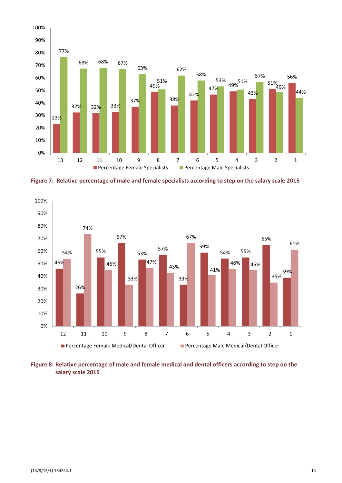

**Figure 7: Relative percentage of male and female specialists according to step on the salary scale 2015**



**Figure 8: Relative percentage of male and female medical and dental officers according to step on the salary scale 2015**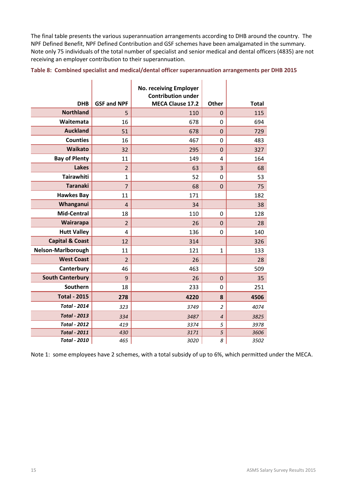The final table presents the various superannuation arrangements according to DHB around the country. The NPF Defined Benefit, NPF Defined Contribution and GSF schemes have been amalgamated in the summary. Note only 75 individuals of the total number of specialist and senior medical and dental officers (4835) are not receiving an employer contribution to their superannuation.

|  |  |  | Table 8: Combined specialist and medical/dental officer superannuation arrangements per DHB 2015 |  |  |
|--|--|--|--------------------------------------------------------------------------------------------------|--|--|
|--|--|--|--------------------------------------------------------------------------------------------------|--|--|

|                            |                    | No. receiving Employer<br><b>Contribution under</b> |                |              |
|----------------------------|--------------------|-----------------------------------------------------|----------------|--------------|
| <b>DHB</b>                 | <b>GSF and NPF</b> | <b>MECA Clause 17.2</b>                             | Other          | <b>Total</b> |
| <b>Northland</b>           | 5                  | 110                                                 | 0              | 115          |
| Waitemata                  | 16                 | 678                                                 | 0              | 694          |
| <b>Auckland</b>            | 51                 | 678                                                 | $\mathbf 0$    | 729          |
| <b>Counties</b>            | 16                 | 467                                                 | 0              | 483          |
| <b>Waikato</b>             | 32                 | 295                                                 | $\mathbf 0$    | 327          |
| <b>Bay of Plenty</b>       | 11                 | 149                                                 | 4              | 164          |
| <b>Lakes</b>               | $\overline{2}$     | 63                                                  | 3              | 68           |
| <b>Tairawhiti</b>          | $\mathbf{1}$       | 52                                                  | 0              | 53           |
| <b>Taranaki</b>            | $\overline{7}$     | 68                                                  | $\mathbf 0$    | 75           |
| <b>Hawkes Bay</b>          | 11                 | 171                                                 |                | 182          |
| Whanganui                  | $\overline{4}$     | 34                                                  |                | 38           |
| Mid-Central                | 18                 | 110                                                 | 0              | 128          |
| Wairarapa                  | $\overline{2}$     | 26                                                  | $\overline{0}$ | 28           |
| <b>Hutt Valley</b>         | 4                  | 136                                                 | 0              | 140          |
| <b>Capital &amp; Coast</b> | 12                 | 314                                                 |                | 326          |
| Nelson-Marlborough         | 11                 | 121                                                 | $\mathbf{1}$   | 133          |
| <b>West Coast</b>          | $\overline{2}$     | 26                                                  |                | 28           |
| Canterbury                 | 46                 | 463                                                 |                | 509          |
| <b>South Canterbury</b>    | 9                  | 26                                                  | 0              | 35           |
| Southern                   | 18                 | 233                                                 | 0              | 251          |
| <b>Total - 2015</b>        | 278                | 4220                                                | 8              | 4506         |
| <b>Total - 2014</b>        | 323                | 3749                                                | $\overline{a}$ | 4074         |
| <b>Total - 2013</b>        | 334                | 3487                                                | $\overline{4}$ | 3825         |
| <b>Total - 2012</b>        | 419                | 3374                                                | 5              | 3978         |
| <b>Total - 2011</b>        | 430                | 3171                                                | 5              | 3606         |
| <b>Total - 2010</b>        | 465                | 3020                                                | 8              | 3502         |

Note 1: some employees have 2 schemes, with a total subsidy of up to 6%, which permitted under the MECA.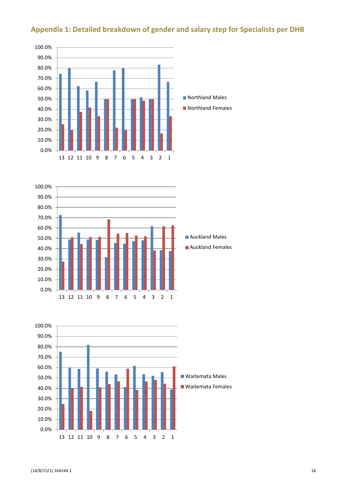

# **Appendix 1: Detailed breakdown of gender and salary step for Specialists per DHB**



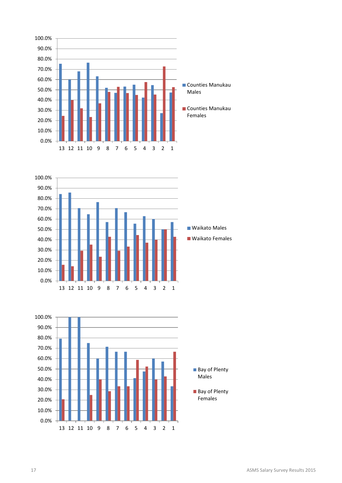



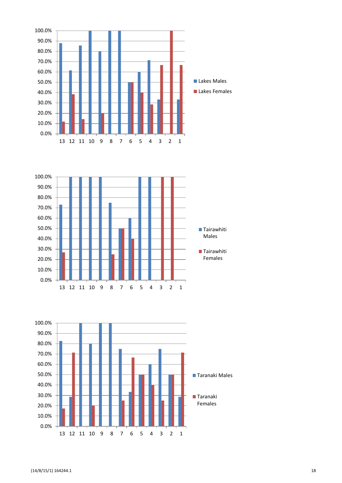



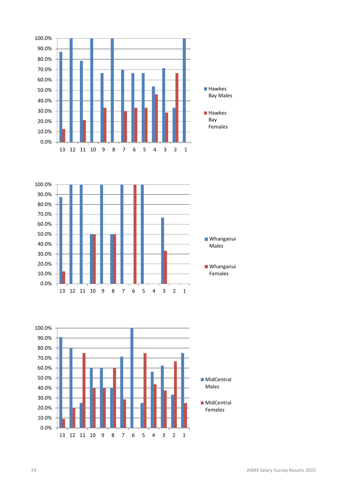

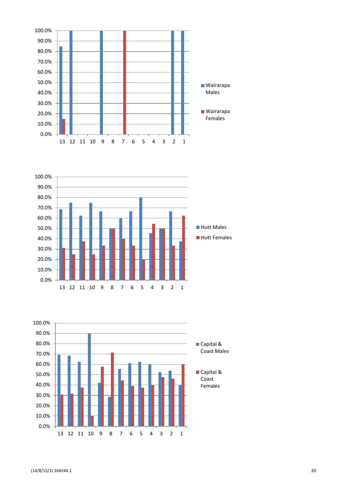



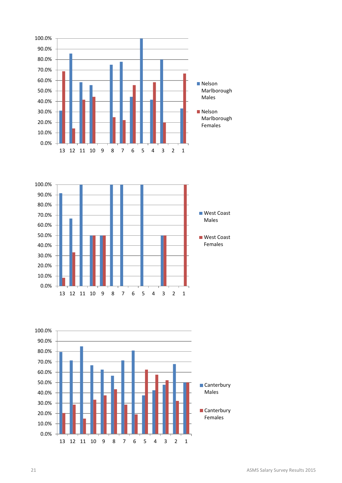



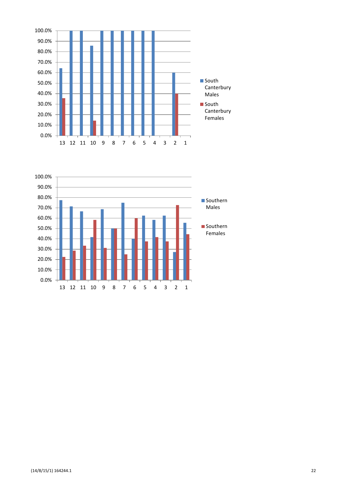

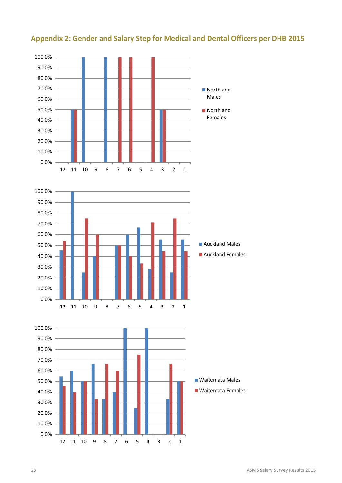

# **Appendix 2: Gender and Salary Step for Medical and Dental Officers per DHB 2015**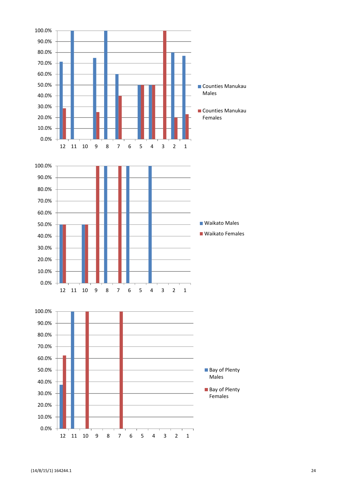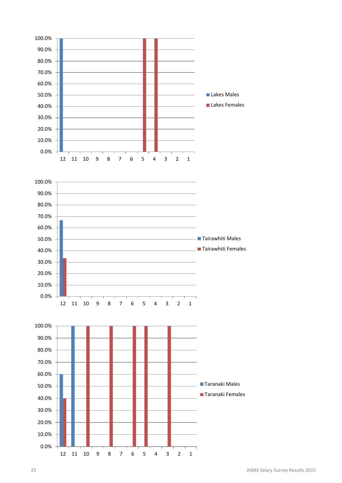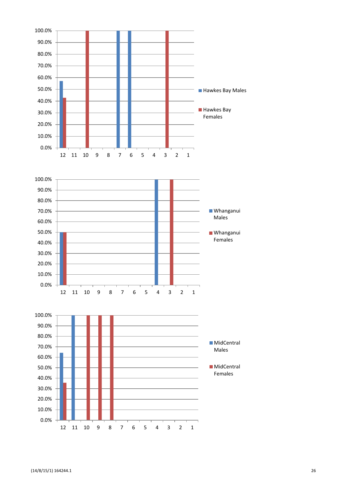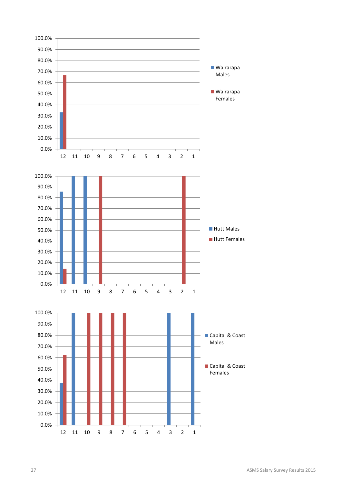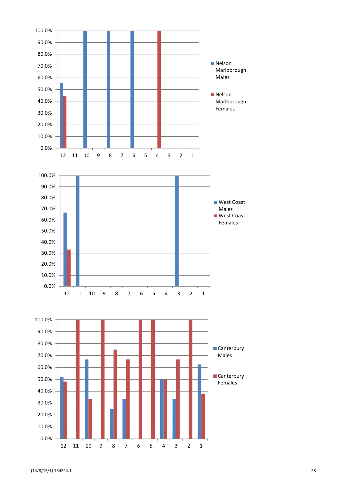![](_page_29_Figure_0.jpeg)